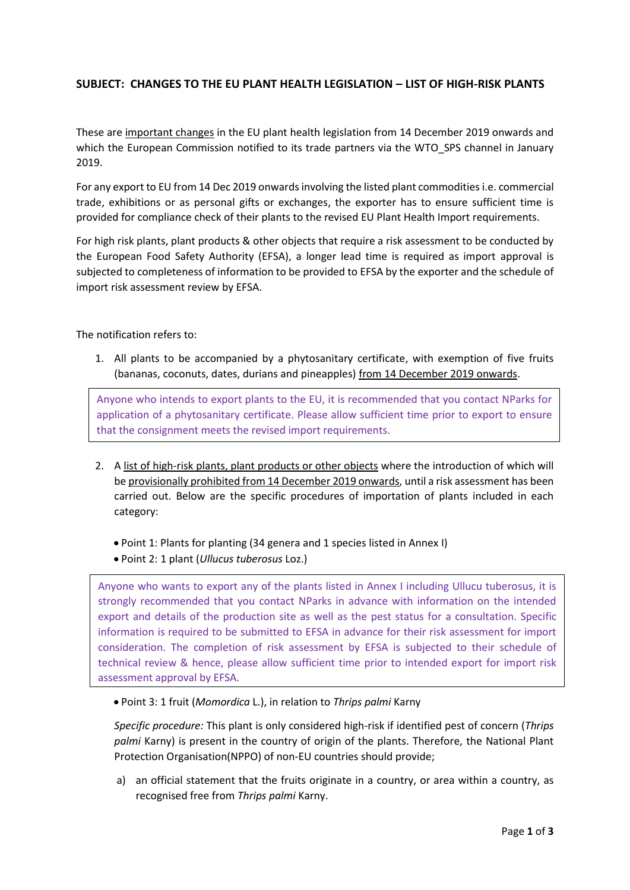## **SUBJECT: CHANGES TO THE EU PLANT HEALTH LEGISLATION – LIST OF HIGH-RISK PLANTS**

These are important changes in the EU plant health legislation from 14 December 2019 onwards and which the European Commission notified to its trade partners via the WTO SPS channel in January 2019.

For any export to EU from 14 Dec 2019 onwards involving the listed plant commodities i.e. commercial trade, exhibitions or as personal gifts or exchanges, the exporter has to ensure sufficient time is provided for compliance check of their plants to the revised EU Plant Health Import requirements.

For high risk plants, plant products & other objects that require a risk assessment to be conducted by the European Food Safety Authority (EFSA), a longer lead time is required as import approval is subjected to completeness of information to be provided to EFSA by the exporter and the schedule of import risk assessment review by EFSA.

## The notification refers to:

1. All plants to be accompanied by a phytosanitary certificate, with exemption of five fruits (bananas, coconuts, dates, durians and pineapples) from 14 December 2019 onwards.

Anyone who intends to export plants to the EU, it is recommended that you contact NParks for application of a phytosanitary certificate. Please allow sufficient time prior to export to ensure that the consignment meets the revised import requirements.

- 2. A list of high-risk plants, plant products or other objects where the introduction of which will be provisionally prohibited from 14 December 2019 onwards, until a risk assessment has been carried out. Below are the specific procedures of importation of plants included in each category:
	- Point 1: Plants for planting (34 genera and 1 species listed in Annex I)
	- Point 2: 1 plant (*Ullucus tuberosus* Loz.)

Anyone who wants to export any of the plants listed in Annex I including Ullucu tuberosus, it is strongly recommended that you contact NParks in advance with information on the intended export and details of the production site as well as the pest status for a consultation. Specific information is required to be submitted to EFSA in advance for their risk assessment for import consideration. The completion of risk assessment by EFSA is subjected to their schedule of technical review & hence, please allow sufficient time prior to intended export for import risk assessment approval by EFSA.

Point 3: 1 fruit (*Momordica* L.), in relation to *Thrips palmi* Karny

*Specific procedure:* This plant is only considered high-risk if identified pest of concern (*Thrips palmi* Karny) is present in the country of origin of the plants. Therefore, the National Plant Protection Organisation(NPPO) of non-EU countries should provide;

a) an official statement that the fruits originate in a country, or area within a country, as recognised free from *Thrips palmi* Karny.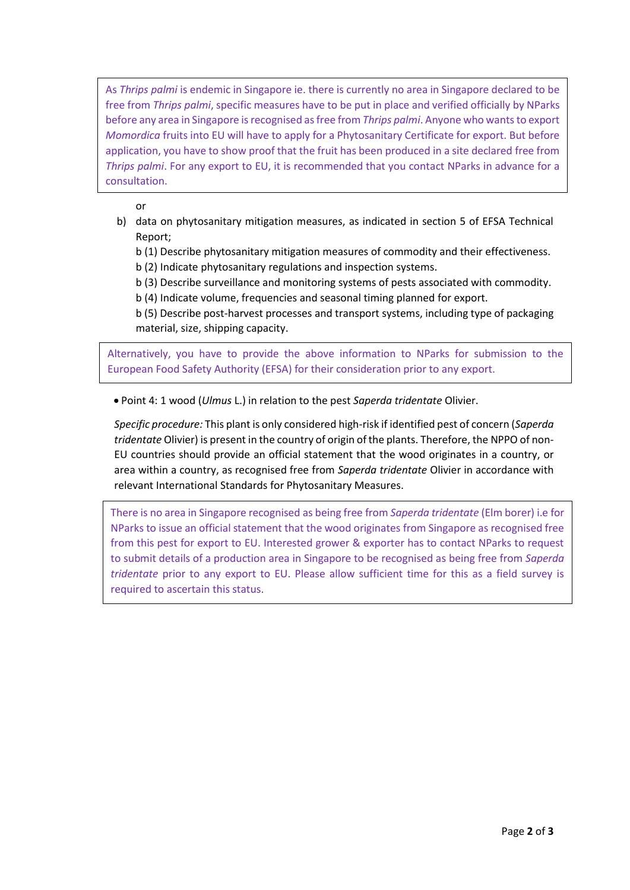As *Thrips palmi* is endemic in Singapore ie. there is currently no area in Singapore declared to be free from *Thrips palmi*, specific measures have to be put in place and verified officially by NParks before any area in Singapore is recognised as free from *Thrips palmi*. Anyone who wants to export *Momordica* fruits into EU will have to apply for a Phytosanitary Certificate for export. But before application, you have to show proof that the fruit has been produced in a site declared free from *Thrips palmi*. For any export to EU, it is recommended that you contact NParks in advance for a consultation.

or

- b) data on phytosanitary mitigation measures, as indicated in section 5 of EFSA Technical Report;
	- b (1) Describe phytosanitary mitigation measures of commodity and their effectiveness.
	- b (2) Indicate phytosanitary regulations and inspection systems.
	- b (3) Describe surveillance and monitoring systems of pests associated with commodity.
	- b (4) Indicate volume, frequencies and seasonal timing planned for export.
	- b (5) Describe post-harvest processes and transport systems, including type of packaging material, size, shipping capacity.

Alternatively, you have to provide the above information to NParks for submission to the European Food Safety Authority (EFSA) for their consideration prior to any export.

Point 4: 1 wood (*Ulmus* L.) in relation to the pest *Saperda tridentate* Olivier.

*Specific procedure:* This plant is only considered high-risk if identified pest of concern (*Saperda tridentate* Olivier) is present in the country of origin of the plants. Therefore, the NPPO of non-EU countries should provide an official statement that the wood originates in a country, or area within a country, as recognised free from *Saperda tridentate* Olivier in accordance with relevant International Standards for Phytosanitary Measures.

There is no area in Singapore recognised as being free from *Saperda tridentate* (Elm borer) i.e for NParks to issue an official statement that the wood originates from Singapore as recognised free from this pest for export to EU. Interested grower & exporter has to contact NParks to request to submit details of a production area in Singapore to be recognised as being free from *Saperda tridentate* prior to any export to EU. Please allow sufficient time for this as a field survey is required to ascertain this status.